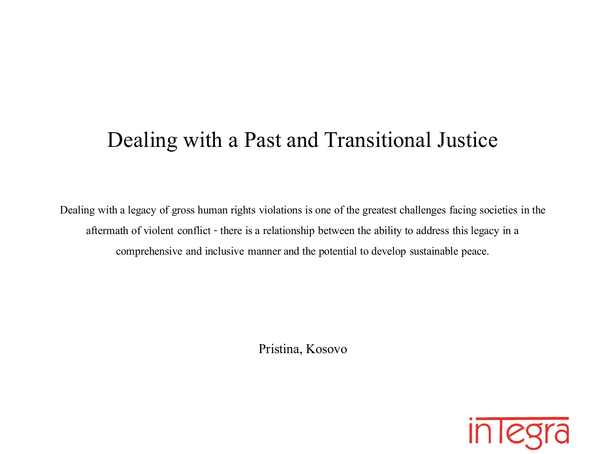### Dealing with a Past and Transitional Justice

Dealing with a legacy of gross human rights violations is one of the greatest challenges facing societies in the aftermath of violent conflict - there is a relationship between the ability to address this legacy in a comprehensive and inclusive manner and the potential to develop sustainable peace.

Pristina, Kosovo

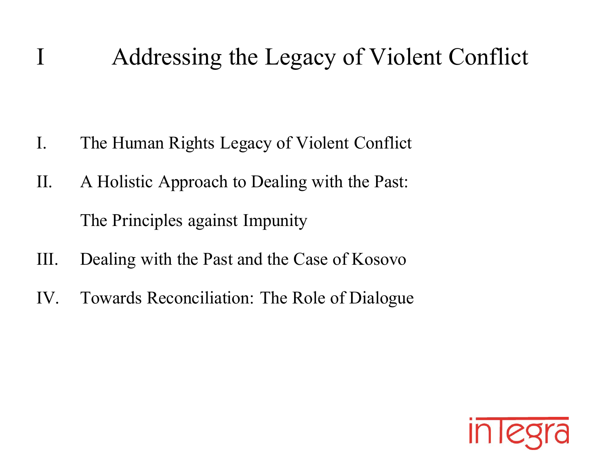# I Addressing the Legacy of Violent Conflict

- I. The Human Rights Legacy of Violent Conflict
- II. A Holistic Approach to Dealing with the Past: The Principles against Impunity
- III. Dealing with the Past and the Case of Kosovo
- IV. Towards Reconciliation: The Role of Dialogue

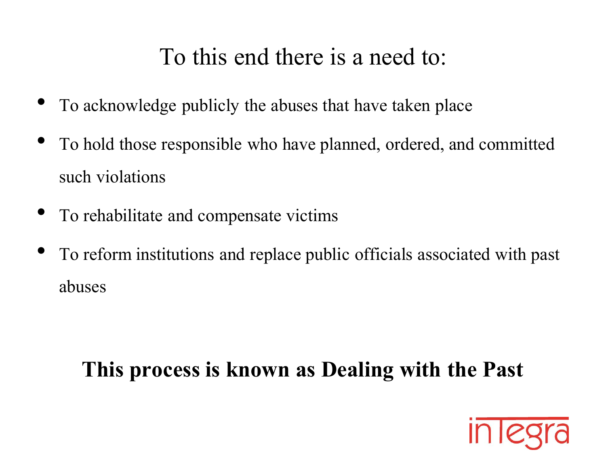# To this end there is a need to:

- To acknowledge publicly the abuses that have taken place
- To hold those responsible who have planned, ordered, and committed such violations
- To rehabilitate and compensate victims
- To reform institutions and replace public officials associated with past abuses

### **This process is known as Dealing with the Past**

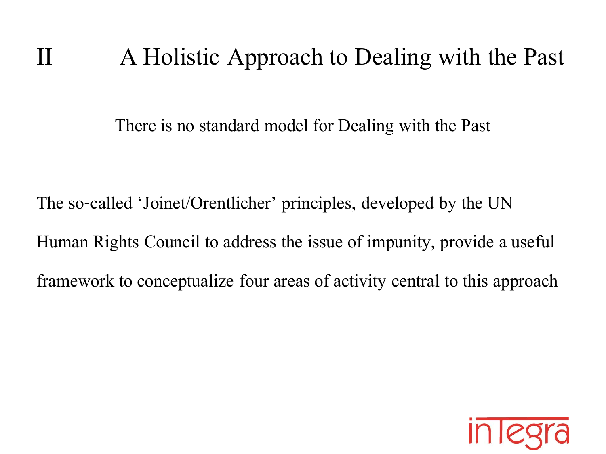## II A Holistic Approach to Dealing with the Past

There is no standard model for Dealing with the Past

The so-called 'Joinet/Orentlicher' principles, developed by the UN Human Rights Council to address the issue of impunity, provide a useful framework to conceptualize four areas of activity central to this approach

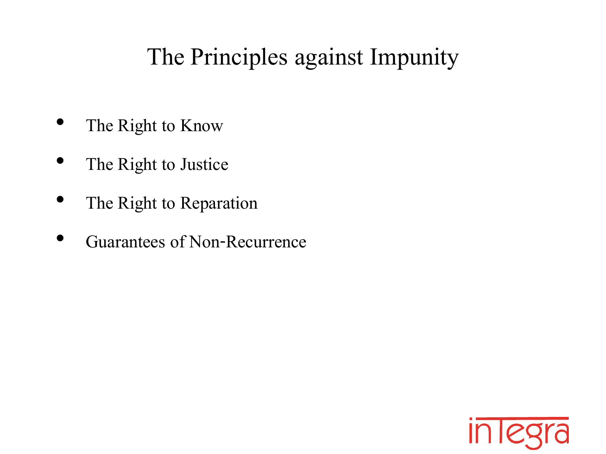# The Principles against Impunity

- The Right to Know
- The Right to Justice
- The Right to Reparation
- Guarantees of Non-Recurrence

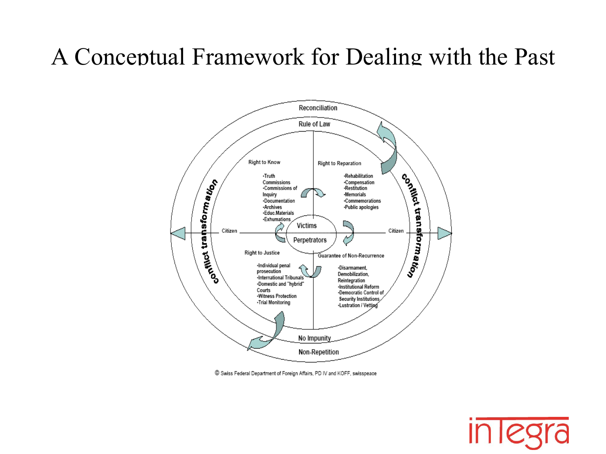# A Conceptual Framework for Dealing with the Past



C Swiss Federal Department of Foreign Affairs, PD IV and KOFF, swisspeace

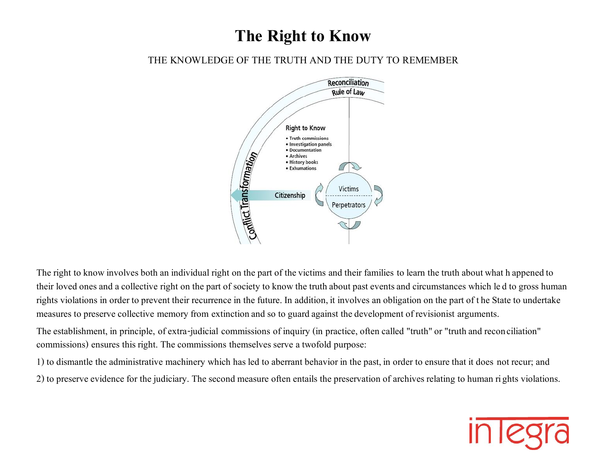### **The Right to Know**

#### THE KNOWLEDGE OF THE TRUTH AND THE DUTY TO REMEMBER



The right to know involves both an individual right on the part of the victims and their families to learn the truth about what happened to their loved ones and a collective right on the part of society to know the truth about past events and circumstances which led to gross human rights violations in order to prevent their recurrence in the future. In addition, it involves an obligation on the part of the State to undertake measures to preserve collective memory from extinction and so to guard against the development of revisionist arguments.

The establishment, in principle, of extra-judicial commissions of inquiry (in practice, often called "truth" or "truth and reconciliation" commissions) ensures this right. The commissions themselves serve a twofold purpose:

1) to dismantle the administrative machinery which has led to aberrant behavior in the past, in order to ensure that it does not recur; and

2) to preserve evidence for the judiciary. The second measure often entails the preservation of archives relating to human rights violations.

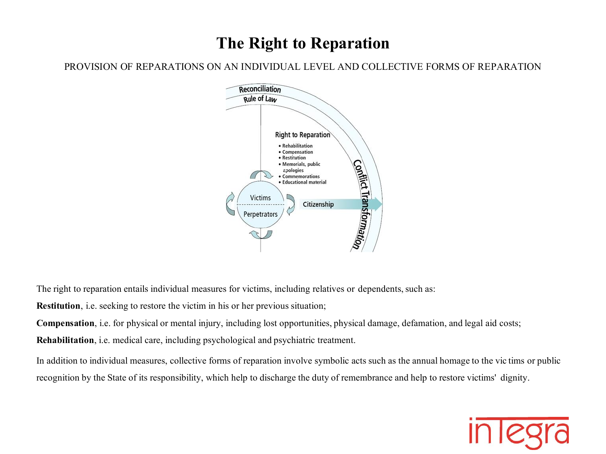### **The Right to Reparation**

PROVISION OF REPARATIONS ON AN INDIVIDUAL LEVEL AND COLLECTIVE FORMS OF REPARATION



The right to reparation entails individual measures for victims, including relatives or dependents, such as:

**Restitution**, i.e. seeking to restore the victim in his or her previous situation;

**Compensation**, i.e. for physical or mental injury, including lost opportunities, physical damage, defamation, and legal aid costs;

**Rehabilitation**, i.e. medical care, including psychological and psychiatric treatment.

In addition to individual measures, collective forms of reparation involve symbolic acts such as the annual homage to the victims or public recognition by the State of its responsibility, which help to discharge the duty of remembrance and help to restore victims' dignity.

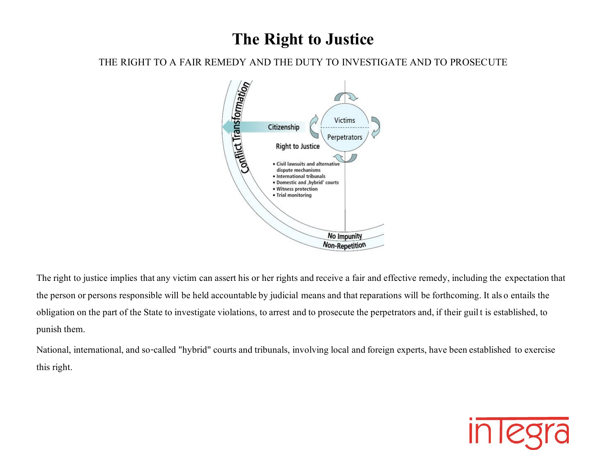### **The Right to Justice**

#### THE RIGHT TO A FAIR REMEDY AND THE DUTY TO INVESTIGATE AND TO PROSECUTE



The right to justice implies that any victim can assert his or her rights and receive a fair and effective remedy, including the expectation that the person or persons responsible will be held accountable by judicial means and that reparations will be forthcoming. It also entails the obligation on the part of the State to investigate violations, to arrest and to prosecute the perpetrators and, if their guil t is established, to punish them.

National, international, and so-called "hybrid" courts and tribunals, involving local and foreign experts, have been established to exercise this right.

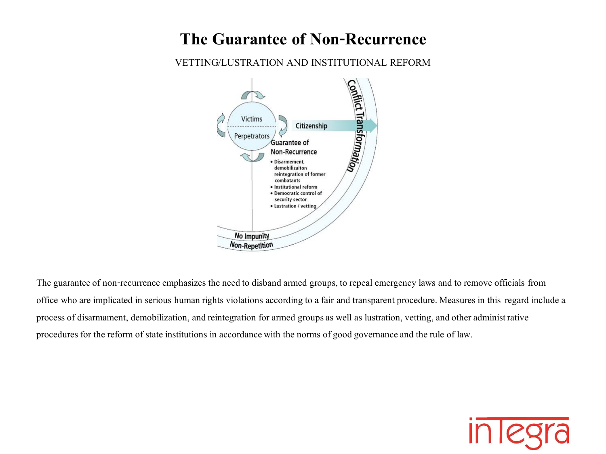### **The Guarantee of Non-Recurrence**

#### VETTING/LUSTRATION AND INSTITUTIONAL REFORM



The guarantee of non-recurrence emphasizes the need to disband armed groups, to repeal emergency laws and to remove officials from office who are implicated in serious human rights violations according to a fair and transparent procedure. Measures in this regard include a process of disarmament, demobilization, and reintegration for armed groups as well as lustration, vetting, and other administ rative procedures for the reform of state institutions in accordance with the norms of good governance and the rule of law.

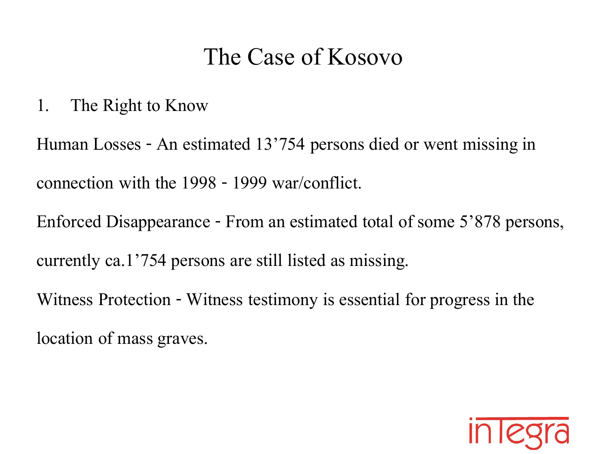1. The Right to Know

Human Losses - An estimated 13'754 persons died or went missing in connection with the 1998 -1999 war/conflict.

Enforced Disappearance - From an estimated total of some 5'878 persons, currently ca.1'754 persons are still listed as missing.

Witness Protection - Witness testimony is essential for progress in the location of mass graves.

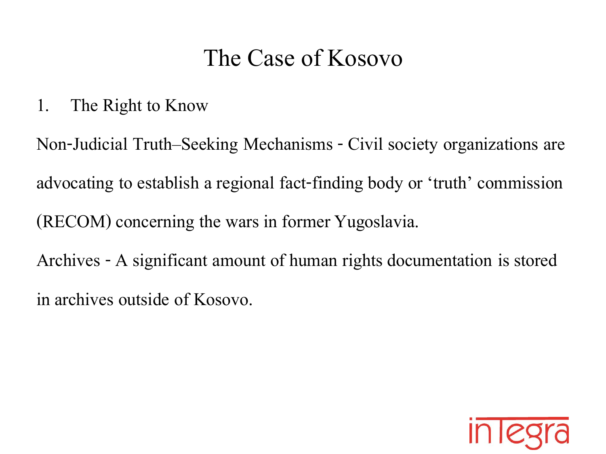1. The Right to Know

Non-Judicial Truth–Seeking Mechanisms - Civil society organizations are advocating to establish a regional fact-finding body or 'truth' commission (RECOM) concerning the wars in former Yugoslavia. Archives - A significant amount of human rights documentation is stored in archives outside of Kosovo.

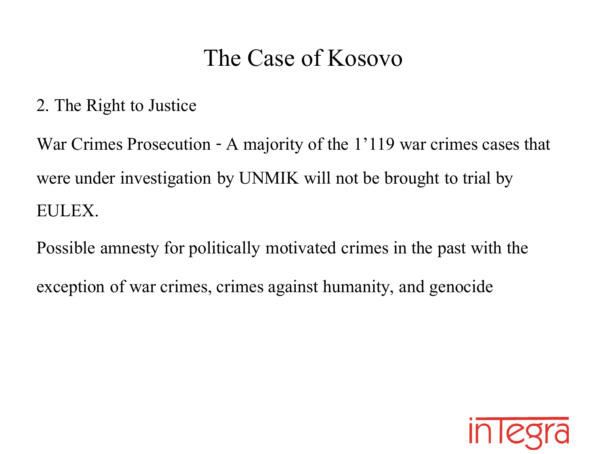2. The Right to Justice

War Crimes Prosecution - A majority of the 1'119 war crimes cases that were under investigation by UNMIK will not be brought to trial by EULEX.

Possible amnesty for politically motivated crimes in the past with the exception of war crimes, crimes against humanity, and genocide

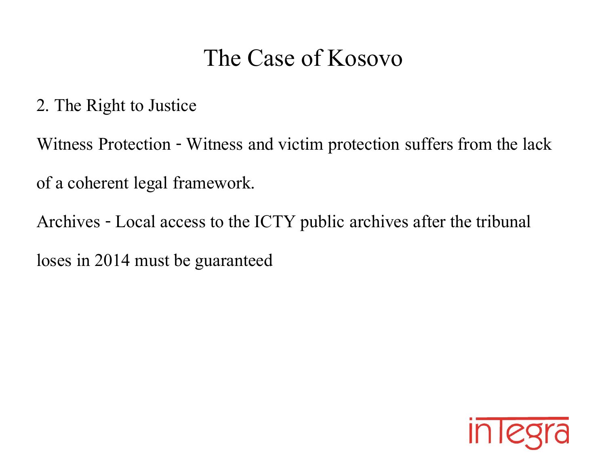2. The Right to Justice

Witness Protection - Witness and victim protection suffers from the lack

of a coherent legal framework.

Archives - Local access to the ICTY public archives after the tribunal loses in 2014 must be guaranteed

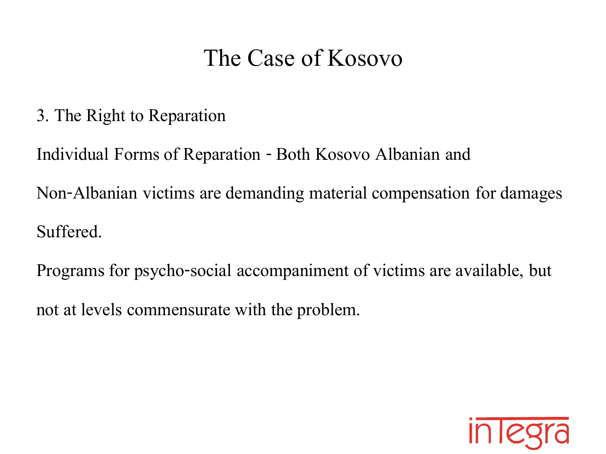3. The Right to Reparation

Individual Forms of Reparation - Both Kosovo Albanian and Non-Albanian victims are demanding material compensation for damages Suffered.

Programs for psycho-social accompaniment of victims are available, but

not at levels commensurate with the problem.

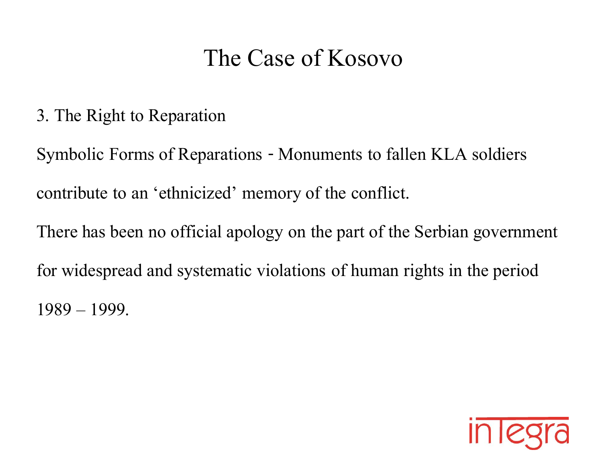3. The Right to Reparation

Symbolic Forms of Reparations - Monuments to fallen KLA soldiers contribute to an 'ethnicized' memory of the conflict. There has been no official apology on the part of the Serbian government for widespread and systematic violations of human rights in the period 1989 –1999.

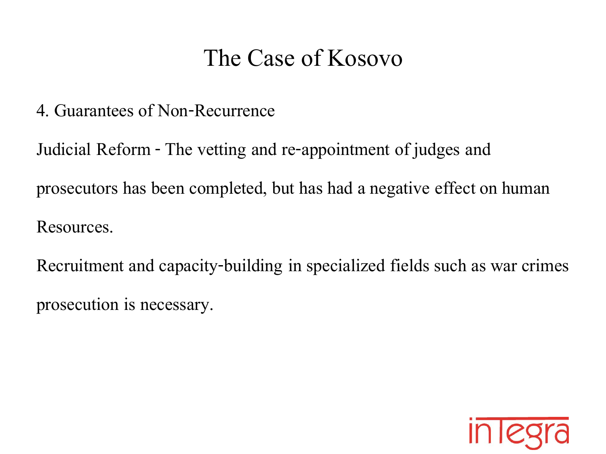4. Guarantees of Non-Recurrence

Judicial Reform - The vetting and re-appointment of judges and prosecutors has been completed, but has had a negative effect on human Resources.

Recruitment and capacity-building in specialized fields such as war crimes prosecution is necessary.

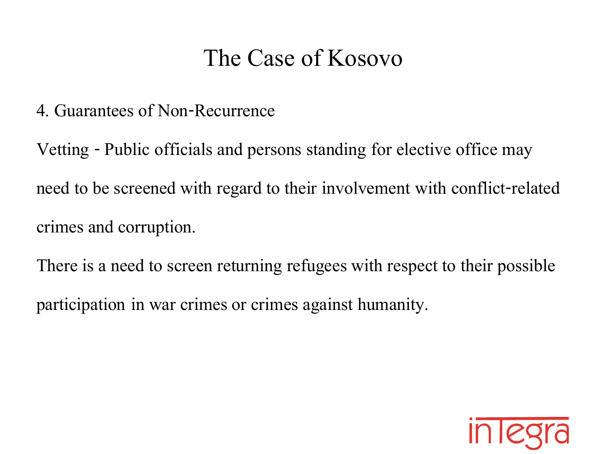### 4. Guarantees of Non-Recurrence

Vetting -Public officials and persons standing for elective office may need to be screened with regard to their involvement with conflict-related crimes and corruption.

There is a need to screen returning refugees with respect to their possible

participation in war crimes or crimes against humanity.